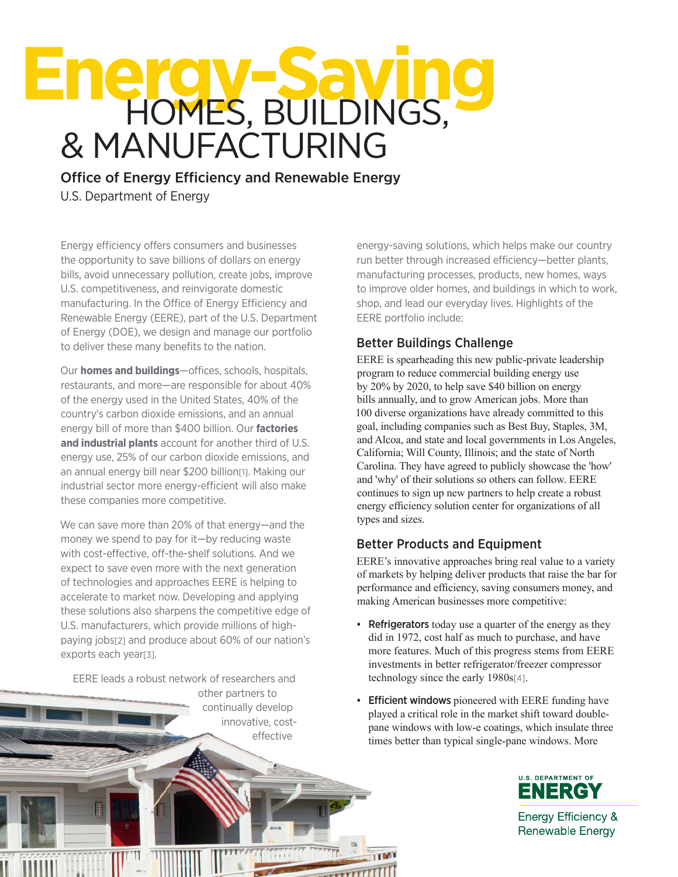# **Energy-Saving** HOMES, BUILDINGS, & MANUFACTURING

Office of Energy Efficiency and Renewable Energy U.S. Department of Energy

Energy efficiency offers consumers and businesses the opportunity to save billions of dollars on energy bills, avoid unnecessary pollution, create jobs, improve U.S. competitiveness, and reinvigorate domestic manufacturing. In the Office of Energy Efficiency and Renewable Energy (EERE), part of the U.S. Department of Energy (DOE), we design and manage our portfolio to deliver these many benefits to the nation.

Our **homes and buildings**—offices, schools, hospitals, restaurants, and more—are responsible for about 40% of the energy used in the United States, 40% of the country's carbon dioxide emissions, and an annual energy bill of more than \$400 billion. Our **factories and industrial plants** account for another third of U.S. energy use, 25% of our carbon dioxide emissions, and an annual energy bill near \$200 billion[1]. Making our industrial sector more energy-efficient will also make these companies more competitive.

We can save more than 20% of that energy—and the money we spend to pay for it—by reducing waste with cost-effective, off-the-shelf solutions. And we expect to save even more with the next generation of technologies and approaches EERE is helping to accelerate to market now. Developing and applying these solutions also sharpens the competitive edge of U.S. manufacturers, which provide millions of highpaying jobs[2] and produce about 60% of our nation's exports each year[3].

EERE leads a robust network of researchers and

other partners to continually develop innovative, costeffective

energy-saving solutions, which helps make our country run better through increased efficiency—better plants, manufacturing processes, products, new homes, ways to improve older homes, and buildings in which to work, shop, and lead our everyday lives. Highlights of the EERE portfolio include:

# Better Buildings Challenge

EERE is spearheading this new public-private leadership program to reduce commercial building energy use by 20% by 2020, to help save \$40 billion on energy bills annually, and to grow American jobs. More than 100 diverse organizations have already committed to this goal, including companies such as Best Buy, Staples, 3M, and Alcoa, and state and local governments in Los Angeles, California; Will County, Illinois; and the state of North Carolina. They have agreed to publicly showcase the 'how' and 'why' of their solutions so others can follow. EERE continues to sign up new partners to help create a robust energy efficiency solution center for organizations of all types and sizes.

# Better Products and Equipment

EERE's innovative approaches bring real value to a variety of markets by helping deliver products that raise the bar for performance and efficiency, saving consumers money, and making American businesses more competitive:

- Refrigerators today use a quarter of the energy as they did in 1972, cost half as much to purchase, and have more features. Much of this progress stems from EERE investments in better refrigerator/freezer compressor technology since the early 1980s[4].
- **Efficient windows** pioneered with EERE funding have played a critical role in the market shift toward doublepane windows with low-e coatings, which insulate three times better than typical single-pane windows. More



**Energy Efficiency & Renewable Energy**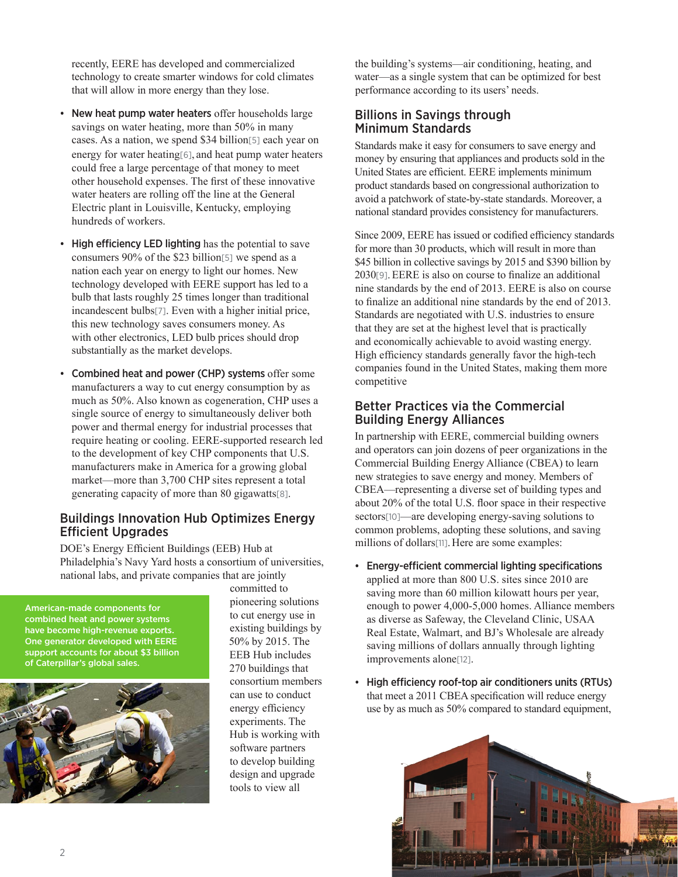recently, EERE has developed and commercialized technology to create smarter windows for cold climates that will allow in more energy than they lose.

- New heat pump water heaters offer households large savings on water heating, more than 50% in many cases. As a nation, we spend \$34 billion[5] each year on energy for water heating<sup>[6]</sup>, and heat pump water heaters could free a large percentage of that money to meet other household expenses. The first of these innovative water heaters are rolling off the line at the General Electric plant in Louisville, Kentucky, employing hundreds of workers.
- High efficiency LED lighting has the potential to save consumers 90% of the \$23 billion[5] we spend as a nation each year on energy to light our homes. New technology developed with EERE support has led to a bulb that lasts roughly 25 times longer than traditional incandescent bulbs[7]. Even with a higher initial price, this new technology saves consumers money. As with other electronics, LED bulb prices should drop substantially as the market develops.
- Combined heat and power (CHP) systems offer some manufacturers a way to cut energy consumption by as much as 50%. Also known as cogeneration, CHP uses a single source of energy to simultaneously deliver both power and thermal energy for industrial processes that require heating or cooling. EERE-supported research led to the development of key CHP components that U.S. manufacturers make in America for a growing global market—more than 3,700 CHP sites represent a total generating capacity of more than 80 gigawatts[8].

#### Buildings Innovation Hub Optimizes Energy Efficient Upgrades

DOE's Energy Efficient Buildings (EEB) Hub at Philadelphia's Navy Yard hosts a consortium of universities, national labs, and private companies that are jointly

American-made components for combined heat and power systems have become high-revenue exports. One generator developed with EERE support accounts for about \$3 billion of Caterpillar's global sales.



committed to pioneering solutions to cut energy use in existing buildings by 50% by 2015. The EEB Hub includes 270 buildings that consortium members can use to conduct energy efficiency experiments. The Hub is working with software partners to develop building design and upgrade tools to view all

the building's systems—air conditioning, heating, and water—as a single system that can be optimized for best performance according to its users' needs.

#### Billions in Savings through Minimum Standards

Standards make it easy for consumers to save energy and money by ensuring that appliances and products sold in the United States are efficient. EERE implements minimum product standards based on congressional authorization to avoid a patchwork of state-by-state standards. Moreover, a national standard provides consistency for manufacturers.

Since 2009, EERE has issued or codified efficiency standards for more than 30 products, which will result in more than \$45 billion in collective savings by 2015 and \$390 billion by 2030[9].EERE is also on course to finalize an additional nine standards by the end of 2013. EERE is also on course to finalize an additional nine standards by the end of 2013. Standards are negotiated with U.S. industries to ensure that they are set at the highest level that is practically and economically achievable to avoid wasting energy. High efficiency standards generally favor the high-tech companies found in the United States, making them more competitive

#### Better Practices via the Commercial Building Energy Alliances

In partnership with EERE, commercial building owners and operators can join dozens of peer organizations in the Commercial Building Energy Alliance (CBEA) to learn new strategies to save energy and money. Members of CBEA—representing a diverse set of building types and about 20% of the total U.S. floor space in their respective sectors[10]—are developing energy-saving solutions to common problems, adopting these solutions, and saving millions of dollars<sup>[11]</sup>. Here are some examples:

- • Energy-efficient commercial lighting specifications applied at more than 800 U.S. sites since 2010 are saving more than 60 million kilowatt hours per year, enough to power 4,000-5,000 homes. Alliance members as diverse as Safeway, the Cleveland Clinic, USAA Real Estate, Walmart, and BJ's Wholesale are already saving millions of dollars annually through lighting improvements alone[12].
- • High efficiency roof-top air conditioners units (RTUs) that meet a 2011 CBEA specification will reduce energy use by as much as 50% compared to standard equipment,

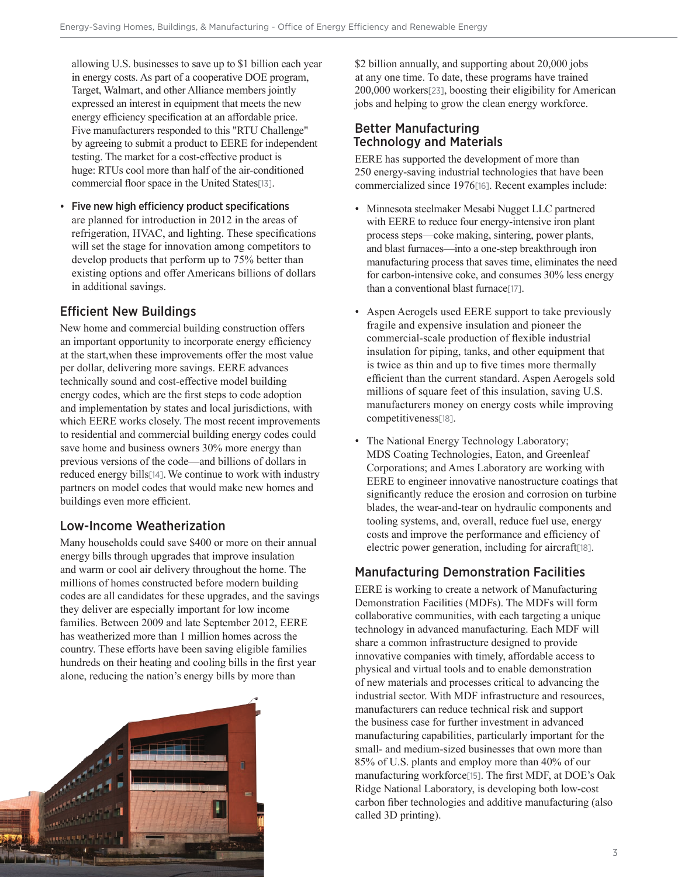allowing U.S. businesses to save up to \$1 billion each year in energy costs. As part of a cooperative DOE program, Target, Walmart, and other Alliance members jointly expressed an interest in equipment that meets the new energy efficiency specification at an affordable price. Five manufacturers responded to this "RTU Challenge" by agreeing to submit a product to EERE for independent testing. The market for a cost-effective product is huge: RTUs cool more than half of the air-conditioned commercial floor space in the United States[13].

• Five new high efficiency product specifications are planned for introduction in 2012 in the areas of refrigeration, HVAC, and lighting. These specifications will set the stage for innovation among competitors to develop products that perform up to 75% better than existing options and offer Americans billions of dollars in additional savings.

## Efficient New Buildings

New home and commercial building construction offers an important opportunity to incorporate energy efficiency at the start,when these improvements offer the most value per dollar, delivering more savings. EERE advances technically sound and cost-effective model building energy codes, which are the first steps to code adoption and implementation by states and local jurisdictions, with which EERE works closely. The most recent improvements to residential and commercial building energy codes could save home and business owners 30% more energy than previous versions of the code—and billions of dollars in reduced energy bills[14].We continue to work with industry partners on model codes that would make new homes and buildings even more efficient.

#### Low-Income Weatherization

Many households could save \$400 or more on their annual energy bills through upgrades that improve insulation and warm or cool air delivery throughout the home. The millions of homes constructed before modern building codes are all candidates for these upgrades, and the savings they deliver are especially important for low income families. Between 2009 and late September 2012, EERE has weatherized more than 1 million homes across the country. These efforts have been saving eligible families hundreds on their heating and cooling bills in the first year alone, reducing the nation's energy bills by more than



\$2 billion annually, and supporting about 20,000 jobs at any one time. To date, these programs have trained 200,000 workers[23], boosting their eligibility for American jobs and helping to grow the clean energy workforce.

#### Better Manufacturing Technology and Materials

EERE has supported the development of more than 250 energy-saving industrial technologies that have been commercialized since 1976[16]. Recent examples include:

- Minnesota steelmaker Mesabi Nugget LLC partnered with EERE to reduce four energy-intensive iron plant process steps—coke making, sintering, power plants, and blast furnaces—into a one-step breakthrough iron manufacturing process that saves time, eliminates the need for carbon-intensive coke, and consumes 30% less energy than a conventional blast furnace[17].
- Aspen Aerogels used EERE support to take previously fragile and expensive insulation and pioneer the commercial-scale production of flexible industrial insulation for piping, tanks, and other equipment that is twice as thin and up to five times more thermally efficient than the current standard. Aspen Aerogels sold millions of square feet of this insulation, saving U.S. manufacturers money on energy costs while improving competitiveness[18].
- The National Energy Technology Laboratory; MDS Coating Technologies, Eaton, and Greenleaf Corporations; and Ames Laboratory are working with EERE to engineer innovative nanostructure coatings that significantly reduce the erosion and corrosion on turbine blades, the wear-and-tear on hydraulic components and tooling systems, and, overall, reduce fuel use, energy costs and improve the performance and efficiency of electric power generation, including for aircraft[18].

#### Manufacturing Demonstration Facilities

EERE is working to create a network of Manufacturing Demonstration Facilities (MDFs). The MDFs will form collaborative communities, with each targeting a unique technology in advanced manufacturing. Each MDF will share a common infrastructure designed to provide innovative companies with timely, affordable access to physical and virtual tools and to enable demonstration of new materials and processes critical to advancing the industrial sector. With MDF infrastructure and resources, manufacturers can reduce technical risk and support the business case for further investment in advanced manufacturing capabilities, particularly important for the small- and medium-sized businesses that own more than 85% of U.S. plants and employ more than 40% of our manufacturing workforce[15]. The first MDF, at DOE's Oak Ridge National Laboratory, is developing both low-cost carbon fiber technologies and additive manufacturing (also called 3D printing).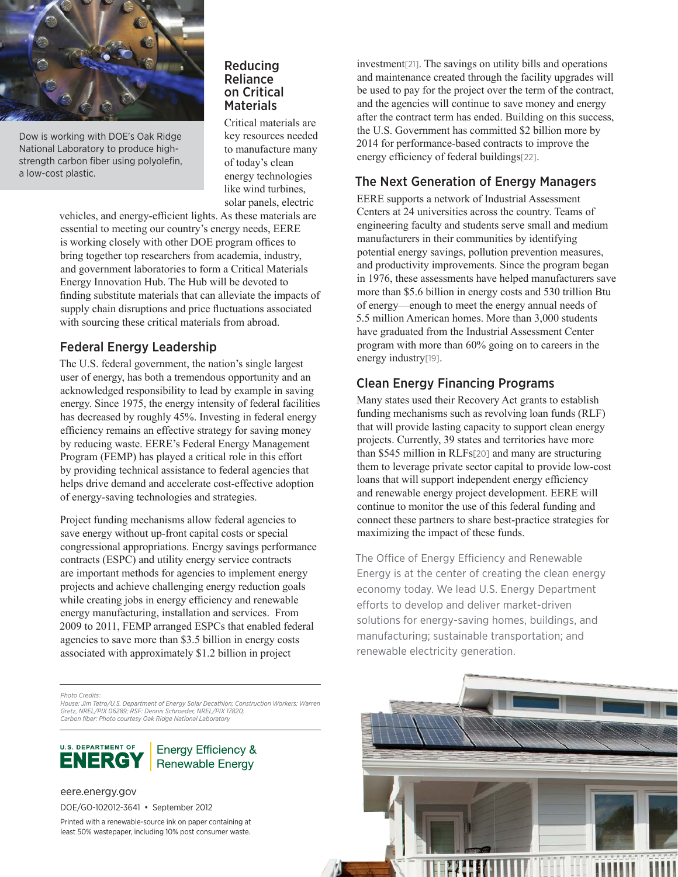

Dow is working with DOE's Oak Ridge National Laboratory to produce highstrength carbon fiber using polyolefin, a low-cost plastic.

#### Reducing Reliance on Critical **Materials**

Critical materials are key resources needed to manufacture many of today's clean energy technologies like wind turbines, solar panels, electric

vehicles, and energy-efficient lights. As these materials are essential to meeting our country's energy needs, EERE is working closely with other DOE program offices to bring together top researchers from academia, industry, and government laboratories to form a Critical Materials Energy Innovation Hub. The Hub will be devoted to finding substitute materials that can alleviate the impacts of supply chain disruptions and price fluctuations associated with sourcing these critical materials from abroad.

## Federal Energy Leadership

The U.S. federal government, the nation's single largest user of energy, has both a tremendous opportunity and an acknowledged responsibility to lead by example in saving energy. Since 1975, the energy intensity of federal facilities has decreased by roughly 45%. Investing in federal energy efficiency remains an effective strategy for saving money by reducing waste. EERE's Federal Energy Management Program (FEMP) has played a critical role in this effort by providing technical assistance to federal agencies that helps drive demand and accelerate cost-effective adoption of energy-saving technologies and strategies.

Project funding mechanisms allow federal agencies to save energy without up-front capital costs or special congressional appropriations. Energy savings performance contracts (ESPC) and utility energy service contracts are important methods for agencies to implement energy projects and achieve challenging energy reduction goals while creating jobs in energy efficiency and renewable energy manufacturing, installation and services. From 2009 to 2011, FEMP arranged ESPCs that enabled federal agencies to save more than \$3.5 billion in energy costs associated with approximately \$1.2 billion in project

*Photo Credits:*

*House: Jim Tetro/U.S. Department of Energy Solar Decathlon; Construction Workers: Warren Gretz, NREL/PIX 06289; RSF: Dennis Schroeder, NREL/PIX 17820; Carbon fiber: Photo courtesy Oak Ridge National Laboratory*



#### **Energy Efficiency &** Renewable Energy

#### eere.energy.gov

DOE/GO-102012-3641 • September 2012

Printed with a renewable-source ink on paper containing at least 50% wastepaper, including 10% post consumer waste.

investment[21]. The savings on utility bills and operations and maintenance created through the facility upgrades will be used to pay for the project over the term of the contract, and the agencies will continue to save money and energy after the contract term has ended. Building on this success, the U.S. Government has committed \$2 billion more by 2014 for performance-based contracts to improve the energy efficiency of federal buildings[22].

## The Next Generation of Energy Managers

EERE supports a network of Industrial Assessment Centers at 24 universities across the country. Teams of engineering faculty and students serve small and medium manufacturers in their communities by identifying potential energy savings, pollution prevention measures, and productivity improvements. Since the program began in 1976, these assessments have helped manufacturers save more than \$5.6 billion in energy costs and 530 trillion Btu of energy—enough to meet the energy annual needs of 5.5 million American homes. More than 3,000 students have graduated from the Industrial Assessment Center program with more than 60% going on to careers in the energy industry[19].

## Clean Energy Financing Programs

Many states used their Recovery Act grants to establish funding mechanisms such as revolving loan funds (RLF) that will provide lasting capacity to support clean energy projects. Currently, 39 states and territories have more than \$545 million in RLFs[20] and many are structuring them to leverage private sector capital to provide low-cost loans that will support independent energy efficiency and renewable energy project development. EERE will continue to monitor the use of this federal funding and connect these partners to share best-practice strategies for maximizing the impact of these funds.

The Office of Energy Efficiency and Renewable Energy is at the center of creating the clean energy economy today. We lead U.S. Energy Department efforts to develop and deliver market-driven solutions for energy-saving homes, buildings, and manufacturing; sustainable transportation; and renewable electricity generation.